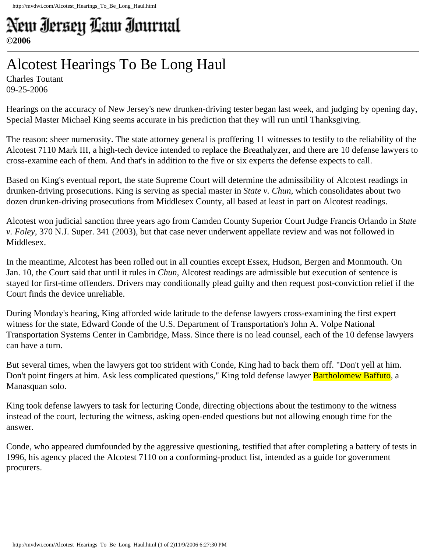## New Iersey Law Iournal **©2006**

## Alcotest Hearings To Be Long Haul

Charles Toutant 09-25-2006

Hearings on the accuracy of New Jersey's new drunken-driving tester began last week, and judging by opening day, Special Master Michael King seems accurate in his prediction that they will run until Thanksgiving.

The reason: sheer numerosity. The state attorney general is proffering 11 witnesses to testify to the reliability of the Alcotest 7110 Mark III, a high-tech device intended to replace the Breathalyzer, and there are 10 defense lawyers to cross-examine each of them. And that's in addition to the five or six experts the defense expects to call.

Based on King's eventual report, the state Supreme Court will determine the admissibility of Alcotest readings in drunken-driving prosecutions. King is serving as special master in *State v. Chun*, which consolidates about two dozen drunken-driving prosecutions from Middlesex County, all based at least in part on Alcotest readings.

Alcotest won judicial sanction three years ago from Camden County Superior Court Judge Francis Orlando in *State v. Foley*, 370 N.J. Super. 341 (2003), but that case never underwent appellate review and was not followed in Middlesex.

In the meantime, Alcotest has been rolled out in all counties except Essex, Hudson, Bergen and Monmouth. On Jan. 10, the Court said that until it rules in *Chun*, Alcotest readings are admissible but execution of sentence is stayed for first-time offenders. Drivers may conditionally plead guilty and then request post-conviction relief if the Court finds the device unreliable.

During Monday's hearing, King afforded wide latitude to the defense lawyers cross-examining the first expert witness for the state, Edward Conde of the U.S. Department of Transportation's John A. Volpe National Transportation Systems Center in Cambridge, Mass. Since there is no lead counsel, each of the 10 defense lawyers can have a turn.

But several times, when the lawyers got too strident with Conde, King had to back them off. "Don't yell at him. Don't point fingers at him. Ask less complicated questions," King told defense lawyer **Bartholomew Baffuto**, a Manasquan solo.

King took defense lawyers to task for lecturing Conde, directing objections about the testimony to the witness instead of the court, lecturing the witness, asking open-ended questions but not allowing enough time for the answer.

Conde, who appeared dumfounded by the aggressive questioning, testified that after completing a battery of tests in 1996, his agency placed the Alcotest 7110 on a conforming-product list, intended as a guide for government procurers.